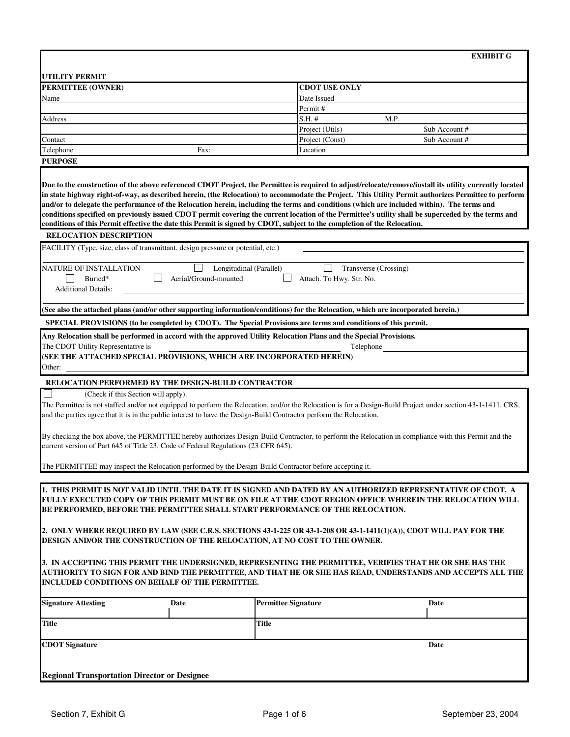|                                                                                                                                                                                                                                                                                                           |      |                                                                                                                          | <b>EXHIBIT G</b>                                                                                                                                                                                                                                                                                                                                                                                                                                                                                                                                                                                                     |  |
|-----------------------------------------------------------------------------------------------------------------------------------------------------------------------------------------------------------------------------------------------------------------------------------------------------------|------|--------------------------------------------------------------------------------------------------------------------------|----------------------------------------------------------------------------------------------------------------------------------------------------------------------------------------------------------------------------------------------------------------------------------------------------------------------------------------------------------------------------------------------------------------------------------------------------------------------------------------------------------------------------------------------------------------------------------------------------------------------|--|
|                                                                                                                                                                                                                                                                                                           |      |                                                                                                                          |                                                                                                                                                                                                                                                                                                                                                                                                                                                                                                                                                                                                                      |  |
| <b>UTILITY PERMIT</b>                                                                                                                                                                                                                                                                                     |      |                                                                                                                          |                                                                                                                                                                                                                                                                                                                                                                                                                                                                                                                                                                                                                      |  |
| <b>PERMITTEE (OWNER)</b>                                                                                                                                                                                                                                                                                  |      |                                                                                                                          | <b>CDOT USE ONLY</b>                                                                                                                                                                                                                                                                                                                                                                                                                                                                                                                                                                                                 |  |
| Name                                                                                                                                                                                                                                                                                                      |      | Date Issued<br>Permit #                                                                                                  |                                                                                                                                                                                                                                                                                                                                                                                                                                                                                                                                                                                                                      |  |
| Address                                                                                                                                                                                                                                                                                                   |      | S.H. #                                                                                                                   | M.P.                                                                                                                                                                                                                                                                                                                                                                                                                                                                                                                                                                                                                 |  |
|                                                                                                                                                                                                                                                                                                           |      | Project (Utils)                                                                                                          | Sub Account #                                                                                                                                                                                                                                                                                                                                                                                                                                                                                                                                                                                                        |  |
| Contact                                                                                                                                                                                                                                                                                                   |      | Project (Const)                                                                                                          | Sub Account #                                                                                                                                                                                                                                                                                                                                                                                                                                                                                                                                                                                                        |  |
| Telephone                                                                                                                                                                                                                                                                                                 | Fax: | Location                                                                                                                 |                                                                                                                                                                                                                                                                                                                                                                                                                                                                                                                                                                                                                      |  |
| <b>PURPOSE</b>                                                                                                                                                                                                                                                                                            |      |                                                                                                                          |                                                                                                                                                                                                                                                                                                                                                                                                                                                                                                                                                                                                                      |  |
|                                                                                                                                                                                                                                                                                                           |      | conditions of this Permit effective the date this Permit is signed by CDOT, subject to the completion of the Relocation. | Due to the construction of the above referenced CDOT Project, the Permittee is required to adjust/relocate/remove/install its utility currently located<br>in state highway right-of-way, as described herein, (the Relocation) to accommodate the Project. This Utility Permit authorizes Permittee to perform<br>and/or to delegate the performance of the Relocation herein, including the terms and conditions (which are included within). The terms and<br>conditions specified on previously issued CDOT permit covering the current location of the Permittee's utility shall be superceded by the terms and |  |
| <b>RELOCATION DESCRIPTION</b>                                                                                                                                                                                                                                                                             |      |                                                                                                                          |                                                                                                                                                                                                                                                                                                                                                                                                                                                                                                                                                                                                                      |  |
| FACILITY (Type, size, class of transmittant, design pressure or potential, etc.)                                                                                                                                                                                                                          |      |                                                                                                                          |                                                                                                                                                                                                                                                                                                                                                                                                                                                                                                                                                                                                                      |  |
| NATURE OF INSTALLATION<br>Longitudinal (Parallel)<br>Transverse (Crossing)<br>Buried*<br>Aerial/Ground-mounted<br>Attach. To Hwy. Str. No.<br><b>Additional Details:</b>                                                                                                                                  |      |                                                                                                                          |                                                                                                                                                                                                                                                                                                                                                                                                                                                                                                                                                                                                                      |  |
| (See also the attached plans (and/or other supporting information/conditions) for the Relocation, which are incorporated herein.)                                                                                                                                                                         |      |                                                                                                                          |                                                                                                                                                                                                                                                                                                                                                                                                                                                                                                                                                                                                                      |  |
| SPECIAL PROVISIONS (to be completed by CDOT). The Special Provisions are terms and conditions of this permit.                                                                                                                                                                                             |      |                                                                                                                          |                                                                                                                                                                                                                                                                                                                                                                                                                                                                                                                                                                                                                      |  |
| Any Relocation shall be performed in accord with the approved Utility Relocation Plans and the Special Provisions.<br>The CDOT Utility Representative is<br>Telephone                                                                                                                                     |      |                                                                                                                          |                                                                                                                                                                                                                                                                                                                                                                                                                                                                                                                                                                                                                      |  |
| (SEE THE ATTACHED SPECIAL PROVISIONS, WHICH ARE INCORPORATED HEREIN)                                                                                                                                                                                                                                      |      |                                                                                                                          |                                                                                                                                                                                                                                                                                                                                                                                                                                                                                                                                                                                                                      |  |
| Other:                                                                                                                                                                                                                                                                                                    |      |                                                                                                                          |                                                                                                                                                                                                                                                                                                                                                                                                                                                                                                                                                                                                                      |  |
| RELOCATION PERFORMED BY THE DESIGN-BUILD CONTRACTOR                                                                                                                                                                                                                                                       |      |                                                                                                                          |                                                                                                                                                                                                                                                                                                                                                                                                                                                                                                                                                                                                                      |  |
| (Check if this Section will apply).                                                                                                                                                                                                                                                                       |      |                                                                                                                          |                                                                                                                                                                                                                                                                                                                                                                                                                                                                                                                                                                                                                      |  |
| The Permittee is not staffed and/or not equipped to perform the Relocation, and/or the Relocation is for a Design-Build Project under section 43-1-1411, CRS,<br>and the parties agree that it is in the public interest to have the Design-Build Contractor perform the Relocation.                      |      |                                                                                                                          |                                                                                                                                                                                                                                                                                                                                                                                                                                                                                                                                                                                                                      |  |
| By checking the box above, the PERMITTEE hereby authorizes Design-Build Contractor, to perform the Relocation in compliance with this Permit and the<br>current version of Part 645 of Title 23, Code of Federal Regulations (23 CFR 645).                                                                |      |                                                                                                                          |                                                                                                                                                                                                                                                                                                                                                                                                                                                                                                                                                                                                                      |  |
| The PERMITTEE may inspect the Relocation performed by the Design-Build Contractor before accepting it.                                                                                                                                                                                                    |      |                                                                                                                          |                                                                                                                                                                                                                                                                                                                                                                                                                                                                                                                                                                                                                      |  |
|                                                                                                                                                                                                                                                                                                           |      |                                                                                                                          |                                                                                                                                                                                                                                                                                                                                                                                                                                                                                                                                                                                                                      |  |
| 1. THIS PERMIT IS NOT VALID UNTIL THE DATE IT IS SIGNED AND DATED BY AN AUTHORIZED REPRESENTATIVE OF CDOT. A<br>FULLY EXECUTED COPY OF THIS PERMIT MUST BE ON FILE AT THE CDOT REGION OFFICE WHEREIN THE RELOCATION WILL<br>BE PERFORMED, BEFORE THE PERMITTEE SHALL START PERFORMANCE OF THE RELOCATION. |      |                                                                                                                          |                                                                                                                                                                                                                                                                                                                                                                                                                                                                                                                                                                                                                      |  |
| 2. ONLY WHERE REQUIRED BY LAW (SEE C.R.S. SECTIONS 43-1-225 OR 43-1-208 OR 43-1-1411(1)(A)), CDOT WILL PAY FOR THE<br>DESIGN AND/OR THE CONSTRUCTION OF THE RELOCATION, AT NO COST TO THE OWNER.                                                                                                          |      |                                                                                                                          |                                                                                                                                                                                                                                                                                                                                                                                                                                                                                                                                                                                                                      |  |
| 3. IN ACCEPTING THIS PERMIT THE UNDERSIGNED, REPRESENTING THE PERMITTEE, VERIFIES THAT HE OR SHE HAS THE<br>AUTHORITY TO SIGN FOR AND BIND THE PERMITTEE, AND THAT HE OR SHE HAS READ, UNDERSTANDS AND ACCEPTS ALL THE<br>INCLUDED CONDITIONS ON BEHALF OF THE PERMITTEE.                                 |      |                                                                                                                          |                                                                                                                                                                                                                                                                                                                                                                                                                                                                                                                                                                                                                      |  |
| <b>Signature Attesting</b>                                                                                                                                                                                                                                                                                | Date | <b>Permittee Signature</b>                                                                                               | Date                                                                                                                                                                                                                                                                                                                                                                                                                                                                                                                                                                                                                 |  |
| <b>Title</b>                                                                                                                                                                                                                                                                                              |      | <b>Title</b>                                                                                                             |                                                                                                                                                                                                                                                                                                                                                                                                                                                                                                                                                                                                                      |  |
| <b>CDOT</b> Signature                                                                                                                                                                                                                                                                                     |      |                                                                                                                          | Date                                                                                                                                                                                                                                                                                                                                                                                                                                                                                                                                                                                                                 |  |
|                                                                                                                                                                                                                                                                                                           |      |                                                                                                                          |                                                                                                                                                                                                                                                                                                                                                                                                                                                                                                                                                                                                                      |  |
| <b>Regional Transportation Director or Designee</b>                                                                                                                                                                                                                                                       |      |                                                                                                                          |                                                                                                                                                                                                                                                                                                                                                                                                                                                                                                                                                                                                                      |  |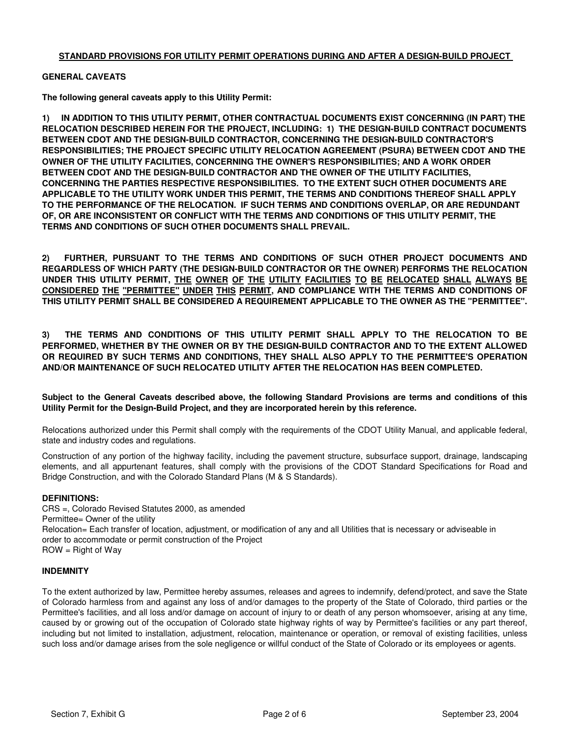# **STANDARD PROVISIONS FOR UTILITY PERMIT OPERATIONS DURING AND AFTER A DESIGN-BUILD PROJECT**

## **GENERAL CAVEATS**

**The following general caveats apply to this Utility Permit:**

**1) IN ADDITION TO THIS UTILITY PERMIT, OTHER CONTRACTUAL DOCUMENTS EXIST CONCERNING (IN PART) THE RELOCATION DESCRIBED HEREIN FOR THE PROJECT, INCLUDING: 1) THE DESIGN-BUILD CONTRACT DOCUMENTS BETWEEN CDOT AND THE DESIGN-BUILD CONTRACTOR, CONCERNING THE DESIGN-BUILD CONTRACTOR'S RESPONSIBILITIES; THE PROJECT SPECIFIC UTILITY RELOCATION AGREEMENT (PSURA) BETWEEN CDOT AND THE OWNER OF THE UTILITY FACILITIES, CONCERNING THE OWNER'S RESPONSIBILITIES; AND A WORK ORDER BETWEEN CDOT AND THE DESIGN-BUILD CONTRACTOR AND THE OWNER OF THE UTILITY FACILITIES, CONCERNING THE PARTIES RESPECTIVE RESPONSIBILITIES. TO THE EXTENT SUCH OTHER DOCUMENTS ARE APPLICABLE TO THE UTILITY WORK UNDER THIS PERMIT, THE TERMS AND CONDITIONS THEREOF SHALL APPLY TO THE PERFORMANCE OF THE RELOCATION. IF SUCH TERMS AND CONDITIONS OVERLAP, OR ARE REDUNDANT OF, OR ARE INCONSISTENT OR CONFLICT WITH THE TERMS AND CONDITIONS OF THIS UTILITY PERMIT, THE TERMS AND CONDITIONS OF SUCH OTHER DOCUMENTS SHALL PREVAIL.**

**2) FURTHER, PURSUANT TO THE TERMS AND CONDITIONS OF SUCH OTHER PROJECT DOCUMENTS AND REGARDLESS OF WHICH PARTY (THE DESIGN-BUILD CONTRACTOR OR THE OWNER) PERFORMS THE RELOCATION UNDER THIS UTILITY PERMIT, THE OWNER OF THE UTILITY FACILITIES TO BE RELOCATED SHALL ALWAYS BE CONSIDERED THE "PERMITTEE" UNDER THIS PERMIT, AND COMPLIANCE WITH THE TERMS AND CONDITIONS OF THIS UTILITY PERMIT SHALL BE CONSIDERED A REQUIREMENT APPLICABLE TO THE OWNER AS THE "PERMITTEE".** 

**3) THE TERMS AND CONDITIONS OF THIS UTILITY PERMIT SHALL APPLY TO THE RELOCATION TO BE PERFORMED, WHETHER BY THE OWNER OR BY THE DESIGN-BUILD CONTRACTOR AND TO THE EXTENT ALLOWED OR REQUIRED BY SUCH TERMS AND CONDITIONS, THEY SHALL ALSO APPLY TO THE PERMITTEE'S OPERATION AND/OR MAINTENANCE OF SUCH RELOCATED UTILITY AFTER THE RELOCATION HAS BEEN COMPLETED.**

**Subject to the General Caveats described above, the following Standard Provisions are terms and conditions of this Utility Permit for the Design-Build Project, and they are incorporated herein by this reference.**

Relocations authorized under this Permit shall comply with the requirements of the CDOT Utility Manual, and applicable federal, state and industry codes and regulations.

Construction of any portion of the highway facility, including the pavement structure, subsurface support, drainage, landscaping elements, and all appurtenant features, shall comply with the provisions of the CDOT Standard Specifications for Road and Bridge Construction, and with the Colorado Standard Plans (M & S Standards).

### **DEFINITIONS:**

order to accommodate or permit construction of the Project ROW = Right of Way Relocation= Each transfer of location, adjustment, or modification of any and all Utilities that is necessary or adviseable in CRS =, Colorado Revised Statutes 2000, as amended Permittee= Owner of the utility

### **INDEMNITY**

To the extent authorized by law, Permittee hereby assumes, releases and agrees to indemnify, defend/protect, and save the State of Colorado harmless from and against any loss of and/or damages to the property of the State of Colorado, third parties or the Permittee's facilities, and all loss and/or damage on account of injury to or death of any person whomsoever, arising at any time, caused by or growing out of the occupation of Colorado state highway rights of way by Permittee's facilities or any part thereof, including but not limited to installation, adjustment, relocation, maintenance or operation, or removal of existing facilities, unless such loss and/or damage arises from the sole negligence or willful conduct of the State of Colorado or its employees or agents.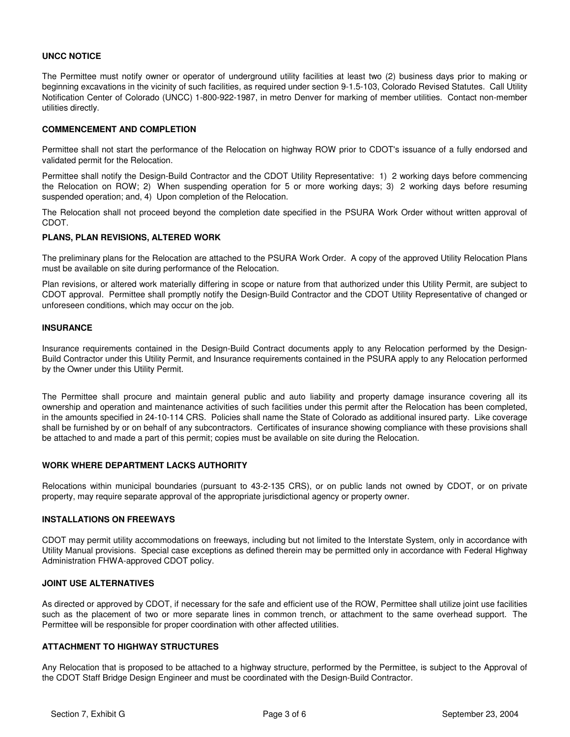# **UNCC NOTICE**

The Permittee must notify owner or operator of underground utility facilities at least two (2) business days prior to making or beginning excavations in the vicinity of such facilities, as required under section 9-1.5-103, Colorado Revised Statutes. Call Utility Notification Center of Colorado (UNCC) 1-800-922-1987, in metro Denver for marking of member utilities. Contact non-member utilities directly.

## **COMMENCEMENT AND COMPLETION**

Permittee shall not start the performance of the Relocation on highway ROW prior to CDOT's issuance of a fully endorsed and validated permit for the Relocation.

Permittee shall notify the Design-Build Contractor and the CDOT Utility Representative: 1) 2 working days before commencing the Relocation on ROW; 2) When suspending operation for 5 or more working days; 3) 2 working days before resuming suspended operation; and, 4) Upon completion of the Relocation.

The Relocation shall not proceed beyond the completion date specified in the PSURA Work Order without written approval of CDOT.

# **PLANS, PLAN REVISIONS, ALTERED WORK**

The preliminary plans for the Relocation are attached to the PSURA Work Order. A copy of the approved Utility Relocation Plans must be available on site during performance of the Relocation.

Plan revisions, or altered work materially differing in scope or nature from that authorized under this Utility Permit, are subject to CDOT approval. Permittee shall promptly notify the Design-Build Contractor and the CDOT Utility Representative of changed or unforeseen conditions, which may occur on the job.

### **INSURANCE**

Insurance requirements contained in the Design-Build Contract documents apply to any Relocation performed by the Design-Build Contractor under this Utility Permit, and Insurance requirements contained in the PSURA apply to any Relocation performed by the Owner under this Utility Permit.

The Permittee shall procure and maintain general public and auto liability and property damage insurance covering all its ownership and operation and maintenance activities of such facilities under this permit after the Relocation has been completed, in the amounts specified in 24-10-114 CRS. Policies shall name the State of Colorado as additional insured party. Like coverage shall be furnished by or on behalf of any subcontractors. Certificates of insurance showing compliance with these provisions shall be attached to and made a part of this permit; copies must be available on site during the Relocation.

### **WORK WHERE DEPARTMENT LACKS AUTHORITY**

Relocations within municipal boundaries (pursuant to 43-2-135 CRS), or on public lands not owned by CDOT, or on private property, may require separate approval of the appropriate jurisdictional agency or property owner.

### **INSTALLATIONS ON FREEWAYS**

CDOT may permit utility accommodations on freeways, including but not limited to the Interstate System, only in accordance with Utility Manual provisions. Special case exceptions as defined therein may be permitted only in accordance with Federal Highway Administration FHWA-approved CDOT policy.

# **JOINT USE ALTERNATIVES**

As directed or approved by CDOT, if necessary for the safe and efficient use of the ROW, Permittee shall utilize joint use facilities such as the placement of two or more separate lines in common trench, or attachment to the same overhead support. The Permittee will be responsible for proper coordination with other affected utilities.

### **ATTACHMENT TO HIGHWAY STRUCTURES**

Any Relocation that is proposed to be attached to a highway structure, performed by the Permittee, is subject to the Approval of the CDOT Staff Bridge Design Engineer and must be coordinated with the Design-Build Contractor.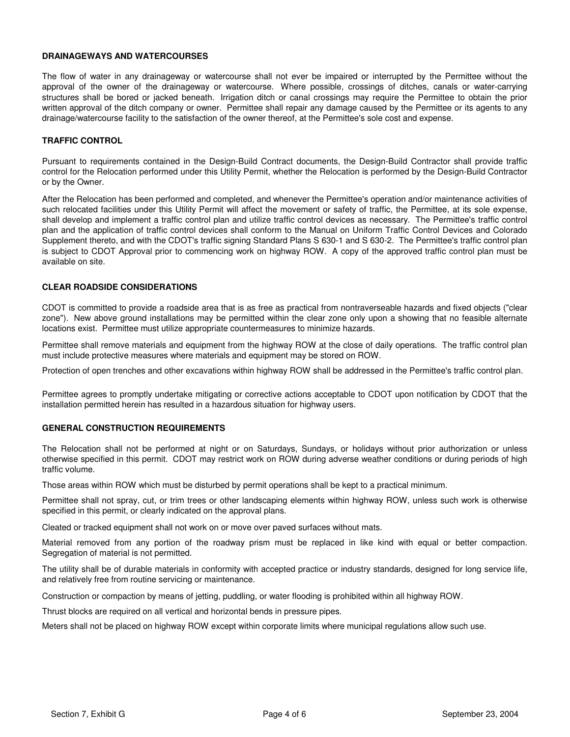## **DRAINAGEWAYS AND WATERCOURSES**

The flow of water in any drainageway or watercourse shall not ever be impaired or interrupted by the Permittee without the approval of the owner of the drainageway or watercourse. Where possible, crossings of ditches, canals or water-carrying structures shall be bored or jacked beneath. Irrigation ditch or canal crossings may require the Permittee to obtain the prior written approval of the ditch company or owner. Permittee shall repair any damage caused by the Permittee or its agents to any drainage/watercourse facility to the satisfaction of the owner thereof, at the Permittee's sole cost and expense.

# **TRAFFIC CONTROL**

Pursuant to requirements contained in the Design-Build Contract documents, the Design-Build Contractor shall provide traffic control for the Relocation performed under this Utility Permit, whether the Relocation is performed by the Design-Build Contractor or by the Owner.

After the Relocation has been performed and completed, and whenever the Permittee's operation and/or maintenance activities of such relocated facilities under this Utility Permit will affect the movement or safety of traffic, the Permittee, at its sole expense, shall develop and implement a traffic control plan and utilize traffic control devices as necessary. The Permittee's traffic control plan and the application of traffic control devices shall conform to the Manual on Uniform Traffic Control Devices and Colorado Supplement thereto, and with the CDOT's traffic signing Standard Plans S 630-1 and S 630-2. The Permittee's traffic control plan is subject to CDOT Approval prior to commencing work on highway ROW. A copy of the approved traffic control plan must be available on site.

# **CLEAR ROADSIDE CONSIDERATIONS**

CDOT is committed to provide a roadside area that is as free as practical from nontraverseable hazards and fixed objects ("clear zone"). New above ground installations may be permitted within the clear zone only upon a showing that no feasible alternate locations exist. Permittee must utilize appropriate countermeasures to minimize hazards.

Permittee shall remove materials and equipment from the highway ROW at the close of daily operations. The traffic control plan must include protective measures where materials and equipment may be stored on ROW.

Protection of open trenches and other excavations within highway ROW shall be addressed in the Permittee's traffic control plan.

Permittee agrees to promptly undertake mitigating or corrective actions acceptable to CDOT upon notification by CDOT that the installation permitted herein has resulted in a hazardous situation for highway users.

### **GENERAL CONSTRUCTION REQUIREMENTS**

The Relocation shall not be performed at night or on Saturdays, Sundays, or holidays without prior authorization or unless otherwise specified in this permit. CDOT may restrict work on ROW during adverse weather conditions or during periods of high traffic volume.

Those areas within ROW which must be disturbed by permit operations shall be kept to a practical minimum.

Permittee shall not spray, cut, or trim trees or other landscaping elements within highway ROW, unless such work is otherwise specified in this permit, or clearly indicated on the approval plans.

Cleated or tracked equipment shall not work on or move over paved surfaces without mats.

Material removed from any portion of the roadway prism must be replaced in like kind with equal or better compaction. Segregation of material is not permitted.

The utility shall be of durable materials in conformity with accepted practice or industry standards, designed for long service life, and relatively free from routine servicing or maintenance.

Construction or compaction by means of jetting, puddling, or water flooding is prohibited within all highway ROW.

Thrust blocks are required on all vertical and horizontal bends in pressure pipes.

Meters shall not be placed on highway ROW except within corporate limits where municipal regulations allow such use.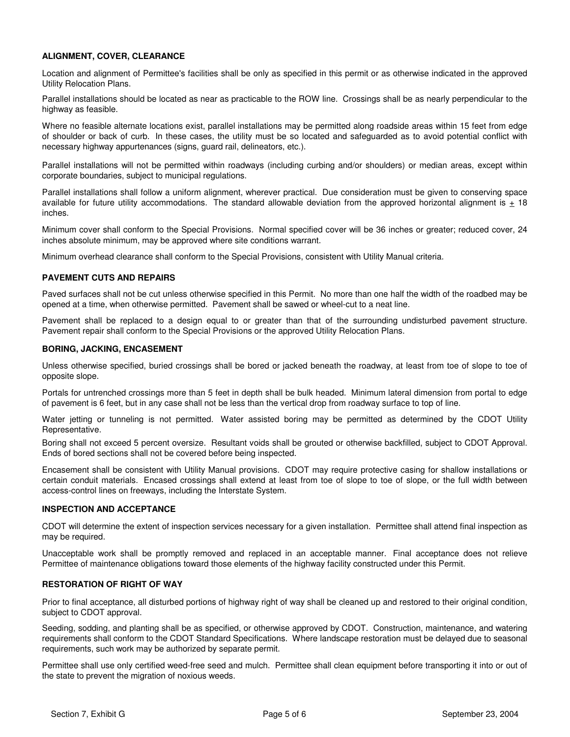# **ALIGNMENT, COVER, CLEARANCE**

Location and alignment of Permittee's facilities shall be only as specified in this permit or as otherwise indicated in the approved Utility Relocation Plans.

Parallel installations should be located as near as practicable to the ROW line. Crossings shall be as nearly perpendicular to the highway as feasible.

Where no feasible alternate locations exist, parallel installations may be permitted along roadside areas within 15 feet from edge of shoulder or back of curb. In these cases, the utility must be so located and safeguarded as to avoid potential conflict with necessary highway appurtenances (signs, guard rail, delineators, etc.).

Parallel installations will not be permitted within roadways (including curbing and/or shoulders) or median areas, except within corporate boundaries, subject to municipal regulations.

Parallel installations shall follow a uniform alignment, wherever practical. Due consideration must be given to conserving space available for future utility accommodations. The standard allowable deviation from the approved horizontal alignment is  $\pm$  18 inches.

Minimum cover shall conform to the Special Provisions. Normal specified cover will be 36 inches or greater; reduced cover, 24 inches absolute minimum, may be approved where site conditions warrant.

Minimum overhead clearance shall conform to the Special Provisions, consistent with Utility Manual criteria.

### **PAVEMENT CUTS AND REPAIRS**

Paved surfaces shall not be cut unless otherwise specified in this Permit. No more than one half the width of the roadbed may be opened at a time, when otherwise permitted. Pavement shall be sawed or wheel-cut to a neat line.

Pavement shall be replaced to a design equal to or greater than that of the surrounding undisturbed pavement structure. Pavement repair shall conform to the Special Provisions or the approved Utility Relocation Plans.

### **BORING, JACKING, ENCASEMENT**

Unless otherwise specified, buried crossings shall be bored or jacked beneath the roadway, at least from toe of slope to toe of opposite slope.

Portals for untrenched crossings more than 5 feet in depth shall be bulk headed. Minimum lateral dimension from portal to edge of pavement is 6 feet, but in any case shall not be less than the vertical drop from roadway surface to top of line.

Water jetting or tunneling is not permitted. Water assisted boring may be permitted as determined by the CDOT Utility Representative.

Boring shall not exceed 5 percent oversize. Resultant voids shall be grouted or otherwise backfilled, subject to CDOT Approval. Ends of bored sections shall not be covered before being inspected.

Encasement shall be consistent with Utility Manual provisions. CDOT may require protective casing for shallow installations or certain conduit materials. Encased crossings shall extend at least from toe of slope to toe of slope, or the full width between access-control lines on freeways, including the Interstate System.

### **INSPECTION AND ACCEPTANCE**

CDOT will determine the extent of inspection services necessary for a given installation. Permittee shall attend final inspection as may be required.

Unacceptable work shall be promptly removed and replaced in an acceptable manner. Final acceptance does not relieve Permittee of maintenance obligations toward those elements of the highway facility constructed under this Permit.

### **RESTORATION OF RIGHT OF WAY**

Prior to final acceptance, all disturbed portions of highway right of way shall be cleaned up and restored to their original condition, subject to CDOT approval.

Seeding, sodding, and planting shall be as specified, or otherwise approved by CDOT. Construction, maintenance, and watering requirements shall conform to the CDOT Standard Specifications. Where landscape restoration must be delayed due to seasonal requirements, such work may be authorized by separate permit.

Permittee shall use only certified weed-free seed and mulch. Permittee shall clean equipment before transporting it into or out of the state to prevent the migration of noxious weeds.